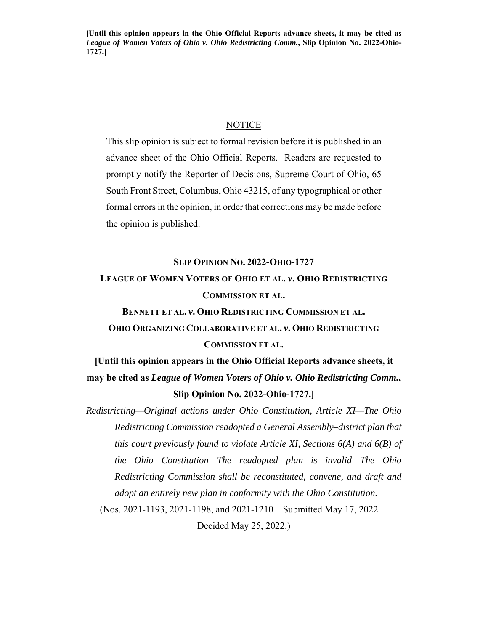**[Until this opinion appears in the Ohio Official Reports advance sheets, it may be cited as**  *League of Women Voters of Ohio v. Ohio Redistricting Comm.***, Slip Opinion No. 2022-Ohio-1727.]** 

#### **NOTICE**

This slip opinion is subject to formal revision before it is published in an advance sheet of the Ohio Official Reports. Readers are requested to promptly notify the Reporter of Decisions, Supreme Court of Ohio, 65 South Front Street, Columbus, Ohio 43215, of any typographical or other formal errors in the opinion, in order that corrections may be made before the opinion is published.

### **SLIP OPINION NO. 2022-OHIO-1727**

# **LEAGUE OF WOMEN VOTERS OF OHIO ET AL.** *v***. OHIO REDISTRICTING COMMISSION ET AL.**

**BENNETT ET AL.** *v***. OHIO REDISTRICTING COMMISSION ET AL. OHIO ORGANIZING COLLABORATIVE ET AL.** *v***. OHIO REDISTRICTING COMMISSION ET AL.**

**[Until this opinion appears in the Ohio Official Reports advance sheets, it may be cited as** *League of Women Voters of Ohio v. Ohio Redistricting Comm.***, Slip Opinion No. 2022-Ohio-1727.]** 

*Redistricting—Original actions under Ohio Constitution, Article XI—The Ohio Redistricting Commission readopted a General Assembly–district plan that this court previously found to violate Article XI, Sections 6(A) and 6(B) of the Ohio Constitution—The readopted plan is invalid—The Ohio Redistricting Commission shall be reconstituted, convene, and draft and adopt an entirely new plan in conformity with the Ohio Constitution.* 

(Nos. 2021-1193, 2021-1198, and 2021-1210—Submitted May 17, 2022— Decided May 25, 2022.)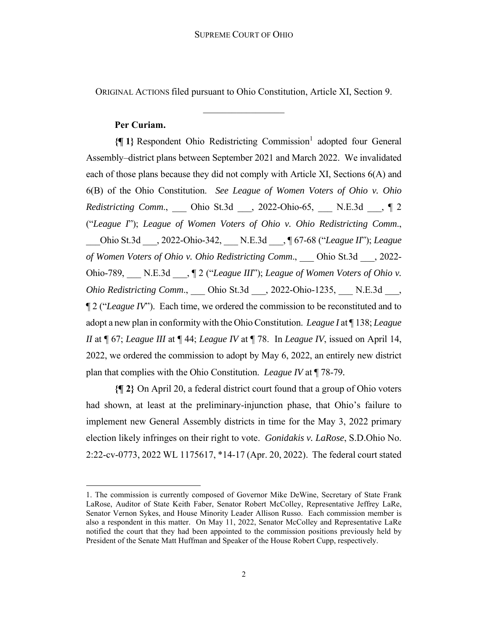ORIGINAL ACTIONS filed pursuant to Ohio Constitution, Article XI, Section 9.

 $\frac{1}{2}$ 

## **Per Curiam.**

{[1} Respondent Ohio Redistricting Commission<sup>1</sup> adopted four General Assembly–district plans between September 2021 and March 2022. We invalidated each of those plans because they did not comply with Article XI, Sections 6(A) and 6(B) of the Ohio Constitution. *See League of Women Voters of Ohio v. Ohio Redistricting Comm*., \_\_\_ Ohio St.3d \_\_\_, 2022-Ohio-65, \_\_\_ N.E.3d \_\_\_, ¶ 2 ("*League I*"); *League of Women Voters of Ohio v. Ohio Redistricting Comm*., \_\_\_Ohio St.3d \_\_\_, 2022-Ohio-342, \_\_\_ N.E.3d \_\_\_, ¶ 67-68 ("*League II*"); *League of Women Voters of Ohio v. Ohio Redistricting Comm*., \_\_\_ Ohio St.3d \_\_\_, 2022- Ohio-789, \_\_\_ N.E.3d \_\_\_, ¶ 2 ("*League III*"); *League of Women Voters of Ohio v. Ohio Redistricting Comm*., \_\_\_ Ohio St.3d \_\_\_, 2022-Ohio-1235, \_\_\_ N.E.3d \_\_\_, ¶ 2 ("*League IV*"). Each time, we ordered the commission to be reconstituted and to adopt a new plan in conformity with the Ohio Constitution. *League I* at ¶ 138; *League II* at ¶ 67; *League III* at ¶ 44; *League IV* at ¶ 78. In *League IV*, issued on April 14, 2022, we ordered the commission to adopt by May 6, 2022, an entirely new district plan that complies with the Ohio Constitution. *League IV* at ¶ 78-79*.* 

**{¶ 2}** On April 20, a federal district court found that a group of Ohio voters had shown, at least at the preliminary-injunction phase, that Ohio's failure to implement new General Assembly districts in time for the May 3, 2022 primary election likely infringes on their right to vote. *Gonidakis v. LaRose*, S.D.Ohio No. 2:22-cv-0773, 2022 WL 1175617, \*14-17 (Apr. 20, 2022). The federal court stated

<sup>1.</sup> The commission is currently composed of Governor Mike DeWine, Secretary of State Frank LaRose, Auditor of State Keith Faber, Senator Robert McColley, Representative Jeffrey LaRe, Senator Vernon Sykes, and House Minority Leader Allison Russo. Each commission member is also a respondent in this matter. On May 11, 2022, Senator McColley and Representative LaRe notified the court that they had been appointed to the commission positions previously held by President of the Senate Matt Huffman and Speaker of the House Robert Cupp, respectively.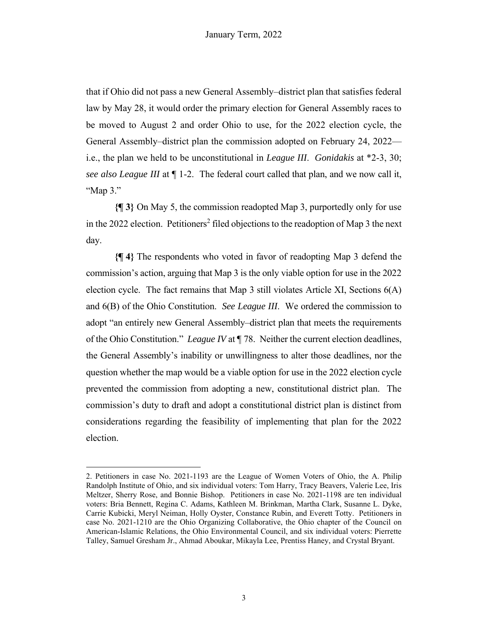that if Ohio did not pass a new General Assembly–district plan that satisfies federal law by May 28, it would order the primary election for General Assembly races to be moved to August 2 and order Ohio to use, for the 2022 election cycle, the General Assembly–district plan the commission adopted on February 24, 2022 i.e., the plan we held to be unconstitutional in *League III*. *Gonidakis* at \*2-3, 30; *see also League III* at ¶ 1-2. The federal court called that plan, and we now call it, "Map 3."

**{¶ 3}** On May 5, the commission readopted Map 3, purportedly only for use in the 2022 election. Petitioners<sup>2</sup> filed objections to the readoption of Map 3 the next day.

**{¶ 4}** The respondents who voted in favor of readopting Map 3 defend the commission's action, arguing that Map 3 is the only viable option for use in the 2022 election cycle. The fact remains that Map 3 still violates Article XI, Sections  $6(A)$ and 6(B) of the Ohio Constitution. *See League III*. We ordered the commission to adopt "an entirely new General Assembly–district plan that meets the requirements of the Ohio Constitution." *League IV* at ¶ 78. Neither the current election deadlines, the General Assembly's inability or unwillingness to alter those deadlines, nor the question whether the map would be a viable option for use in the 2022 election cycle prevented the commission from adopting a new, constitutional district plan. The commission's duty to draft and adopt a constitutional district plan is distinct from considerations regarding the feasibility of implementing that plan for the 2022 election.

<sup>2.</sup> Petitioners in case No. 2021-1193 are the League of Women Voters of Ohio, the A. Philip Randolph Institute of Ohio, and six individual voters: Tom Harry, Tracy Beavers, Valerie Lee, Iris Meltzer, Sherry Rose, and Bonnie Bishop. Petitioners in case No. 2021-1198 are ten individual voters: Bria Bennett, Regina C. Adams, Kathleen M. Brinkman, Martha Clark, Susanne L. Dyke, Carrie Kubicki, Meryl Neiman, Holly Oyster, Constance Rubin, and Everett Totty. Petitioners in case No. 2021-1210 are the Ohio Organizing Collaborative, the Ohio chapter of the Council on American-Islamic Relations, the Ohio Environmental Council, and six individual voters: Pierrette Talley, Samuel Gresham Jr., Ahmad Aboukar, Mikayla Lee, Prentiss Haney, and Crystal Bryant.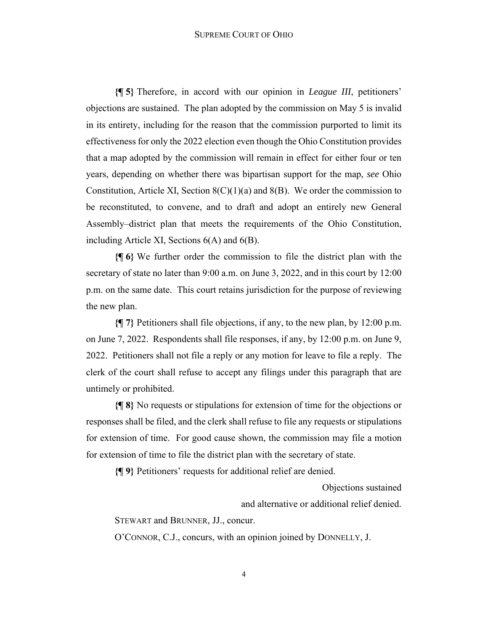**{¶ 5}** Therefore, in accord with our opinion in *League III*, petitioners' objections are sustained. The plan adopted by the commission on May 5 is invalid in its entirety, including for the reason that the commission purported to limit its effectiveness for only the 2022 election even though the Ohio Constitution provides that a map adopted by the commission will remain in effect for either four or ten years, depending on whether there was bipartisan support for the map, *see* Ohio Constitution, Article XI, Section  $8(C)(1)(a)$  and  $8(B)$ . We order the commission to be reconstituted, to convene, and to draft and adopt an entirely new General Assembly–district plan that meets the requirements of the Ohio Constitution, including Article XI, Sections 6(A) and 6(B).

**{¶ 6}** We further order the commission to file the district plan with the secretary of state no later than 9:00 a.m. on June 3, 2022, and in this court by 12:00 p.m. on the same date. This court retains jurisdiction for the purpose of reviewing the new plan.

**{¶ 7}** Petitioners shall file objections, if any, to the new plan, by 12:00 p.m. on June 7, 2022. Respondents shall file responses, if any, by 12:00 p.m. on June 9, 2022. Petitioners shall not file a reply or any motion for leave to file a reply. The clerk of the court shall refuse to accept any filings under this paragraph that are untimely or prohibited.

**{¶ 8}** No requests or stipulations for extension of time for the objections or responses shall be filed, and the clerk shall refuse to file any requests or stipulations for extension of time. For good cause shown, the commission may file a motion for extension of time to file the district plan with the secretary of state.

**{¶ 9}** Petitioners' requests for additional relief are denied.

Objections sustained

and alternative or additional relief denied.

STEWART and BRUNNER, JJ., concur.

O'CONNOR, C.J., concurs, with an opinion joined by DONNELLY, J.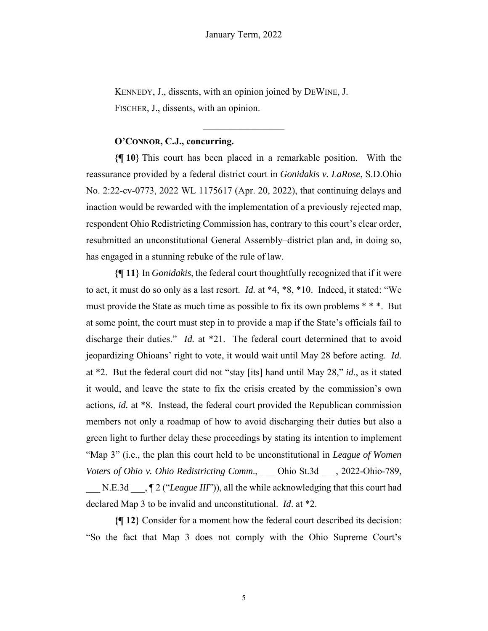KENNEDY, J., dissents, with an opinion joined by DEWINE, J. FISCHER, J., dissents, with an opinion.

# **O'CONNOR, C.J., concurring.**

**{¶ 10}** This court has been placed in a remarkable position. With the reassurance provided by a federal district court in *Gonidakis v. LaRose*, S.D.Ohio No. 2:22-cv-0773, 2022 WL 1175617 (Apr. 20, 2022), that continuing delays and inaction would be rewarded with the implementation of a previously rejected map, respondent Ohio Redistricting Commission has, contrary to this court's clear order, resubmitted an unconstitutional General Assembly–district plan and, in doing so, has engaged in a stunning rebuke of the rule of law.

**{¶ 11}** In *Gonidakis*, the federal court thoughtfully recognized that if it were to act, it must do so only as a last resort. *Id.* at \*4, \*8, \*10. Indeed, it stated: "We must provide the State as much time as possible to fix its own problems \* \* \*. But at some point, the court must step in to provide a map if the State's officials fail to discharge their duties." *Id.* at \*21. The federal court determined that to avoid jeopardizing Ohioans' right to vote, it would wait until May 28 before acting. *Id.*  at \*2. But the federal court did not "stay [its] hand until May 28," *id*., as it stated it would, and leave the state to fix the crisis created by the commission's own actions, *id.* at \*8. Instead, the federal court provided the Republican commission members not only a roadmap of how to avoid discharging their duties but also a green light to further delay these proceedings by stating its intention to implement "Map 3" (i.e., the plan this court held to be unconstitutional in *League of Women Voters of Ohio v. Ohio Redistricting Comm*., \_\_\_ Ohio St.3d \_\_\_, 2022-Ohio-789, N.E.3d  $\qquad$ ,  $\P$  2 ("*League III*")), all the while acknowledging that this court had declared Map 3 to be invalid and unconstitutional. *Id*. at \*2.

**{¶ 12}** Consider for a moment how the federal court described its decision: "So the fact that Map 3 does not comply with the Ohio Supreme Court's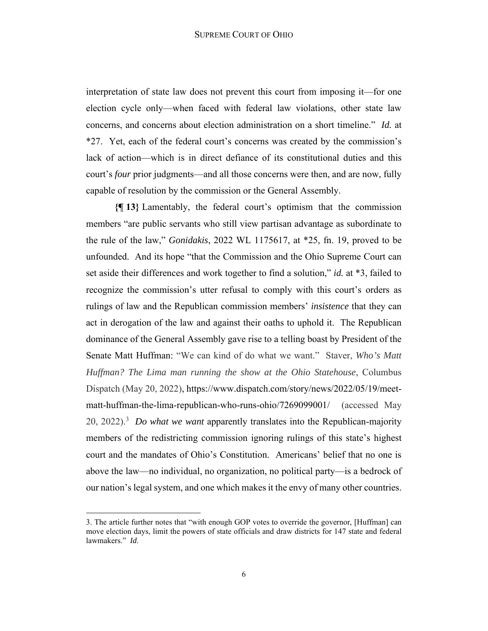interpretation of state law does not prevent this court from imposing it—for one election cycle only—when faced with federal law violations, other state law concerns, and concerns about election administration on a short timeline." *Id.* at \*27. Yet, each of the federal court's concerns was created by the commission's lack of action—which is in direct defiance of its constitutional duties and this court's *four* prior judgments—and all those concerns were then, and are now, fully capable of resolution by the commission or the General Assembly.

**{¶ 13}** Lamentably, the federal court's optimism that the commission members "are public servants who still view partisan advantage as subordinate to the rule of the law," *Gonidakis*, 2022 WL 1175617, at \*25, fn. 19, proved to be unfounded. And its hope "that the Commission and the Ohio Supreme Court can set aside their differences and work together to find a solution," *id.* at \*3, failed to recognize the commission's utter refusal to comply with this court's orders as rulings of law and the Republican commission members' *insistence* that they can act in derogation of the law and against their oaths to uphold it. The Republican dominance of the General Assembly gave rise to a telling boast by President of the Senate Matt Huffman: "We can kind of do what we want." Staver, *Who's Matt Huffman? The Lima man running the show at the Ohio Statehouse*, Columbus Dispatch (May 20, 2022), https://www.dispatch.com/story/news/2022/05/19/meetmatt-huffman-the-lima-republican-who-runs-ohio/7269099001/ (accessed May 20, 2022).<sup>3</sup> *Do what we want* apparently translates into the Republican-majority members of the redistricting commission ignoring rulings of this state's highest court and the mandates of Ohio's Constitution. Americans' belief that no one is above the law—no individual, no organization, no political party—is a bedrock of our nation's legal system, and one which makes it the envy of many other countries.

<sup>3.</sup> The article further notes that "with enough GOP votes to override the governor, [Huffman] can move election days, limit the powers of state officials and draw districts for 147 state and federal lawmakers." *Id*.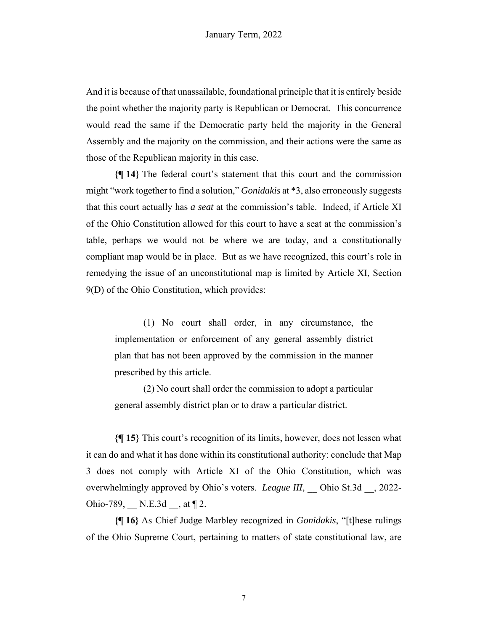And it is because of that unassailable, foundational principle that it is entirely beside the point whether the majority party is Republican or Democrat. This concurrence would read the same if the Democratic party held the majority in the General Assembly and the majority on the commission, and their actions were the same as those of the Republican majority in this case.

**{¶ 14}** The federal court's statement that this court and the commission might "work together to find a solution," *Gonidakis* at \*3, also erroneously suggests that this court actually has *a seat* at the commission's table. Indeed, if Article XI of the Ohio Constitution allowed for this court to have a seat at the commission's table, perhaps we would not be where we are today, and a constitutionally compliant map would be in place. But as we have recognized, this court's role in remedying the issue of an unconstitutional map is limited by Article XI, Section 9(D) of the Ohio Constitution, which provides:

(1) No court shall order, in any circumstance, the implementation or enforcement of any general assembly district plan that has not been approved by the commission in the manner prescribed by this article.

(2) No court shall order the commission to adopt a particular general assembly district plan or to draw a particular district.

**{¶ 15}** This court's recognition of its limits, however, does not lessen what it can do and what it has done within its constitutional authority: conclude that Map 3 does not comply with Article XI of the Ohio Constitution, which was overwhelmingly approved by Ohio's voters. *League III*, **Ohio St.3d** , 2022-Ohio-789, N.E.3d  $\,$ , at  $\P$  2.

**{¶ 16}** As Chief Judge Marbley recognized in *Gonidakis*, "[t]hese rulings of the Ohio Supreme Court, pertaining to matters of state constitutional law, are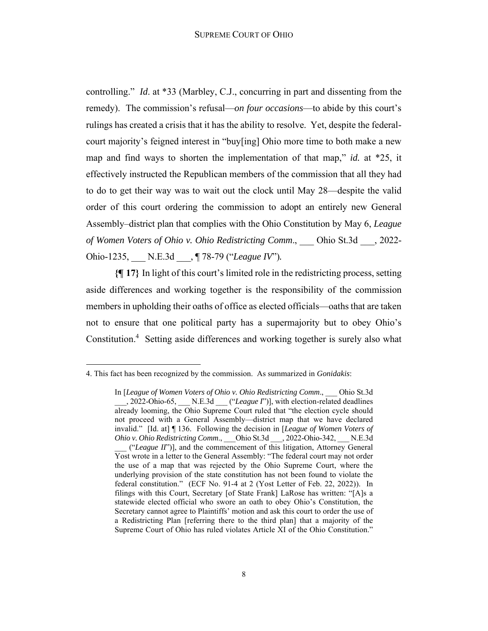controlling." *Id*. at \*33 (Marbley, C.J., concurring in part and dissenting from the remedy). The commission's refusal—*on four occasions*—to abide by this court's rulings has created a crisis that it has the ability to resolve. Yet, despite the federalcourt majority's feigned interest in "buy[ing] Ohio more time to both make a new map and find ways to shorten the implementation of that map," *id.* at \*25, it effectively instructed the Republican members of the commission that all they had to do to get their way was to wait out the clock until May 28—despite the valid order of this court ordering the commission to adopt an entirely new General Assembly–district plan that complies with the Ohio Constitution by May 6, *League of Women Voters of Ohio v. Ohio Redistricting Comm*., \_\_\_ Ohio St.3d \_\_\_, 2022- Ohio-1235, \_\_\_ N.E.3d \_\_\_, ¶ 78-79 ("*League IV*")*.* 

**{¶ 17}** In light of this court's limited role in the redistricting process, setting aside differences and working together is the responsibility of the commission members in upholding their oaths of office as elected officials—oaths that are taken not to ensure that one political party has a supermajority but to obey Ohio's Constitution.<sup>4</sup> Setting aside differences and working together is surely also what

<sup>4.</sup> This fact has been recognized by the commission. As summarized in *Gonidakis*:

In [*League of Women Voters of Ohio v. Ohio Redistricting Comm*., \_\_\_ Ohio St.3d \_\_\_, 2022-Ohio-65, \_\_\_ N.E.3d \_\_\_ ("*League I*")], with election-related deadlines already looming, the Ohio Supreme Court ruled that "the election cycle should not proceed with a General Assembly—district map that we have declared invalid." [Id. at] ¶ 136. Following the decision in [*League of Women Voters of Ohio v. Ohio Redistricting Comm*., \_\_\_Ohio St.3d \_\_\_, 2022-Ohio-342, \_\_\_ N.E.3d \_\_\_ ("*League II*")], and the commencement of this litigation, Attorney General Yost wrote in a letter to the General Assembly: "The federal court may not order the use of a map that was rejected by the Ohio Supreme Court, where the underlying provision of the state constitution has not been found to violate the federal constitution." (ECF No. 91-4 at 2 (Yost Letter of Feb. 22, 2022)). In filings with this Court, Secretary [of State Frank] LaRose has written: "[A]s a statewide elected official who swore an oath to obey Ohio's Constitution, the Secretary cannot agree to Plaintiffs' motion and ask this court to order the use of a Redistricting Plan [referring there to the third plan] that a majority of the Supreme Court of Ohio has ruled violates Article XI of the Ohio Constitution."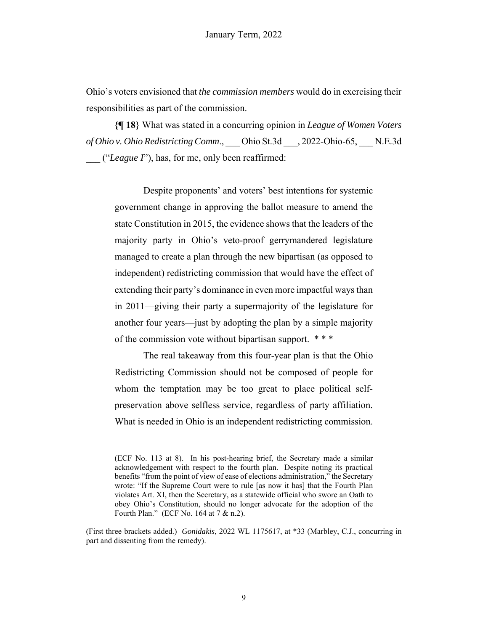Ohio's voters envisioned that *the commission members* would do in exercising their responsibilities as part of the commission.

**{¶ 18}** What was stated in a concurring opinion in *League of Women Voters of Ohio v. Ohio Redistricting Comm*., \_\_\_ Ohio St.3d \_\_\_, 2022-Ohio-65, \_\_\_ N.E.3d \_\_\_ ("*League I*"), has, for me, only been reaffirmed:

Despite proponents' and voters' best intentions for systemic government change in approving the ballot measure to amend the state Constitution in 2015, the evidence shows that the leaders of the majority party in Ohio's veto-proof gerrymandered legislature managed to create a plan through the new bipartisan (as opposed to independent) redistricting commission that would have the effect of extending their party's dominance in even more impactful ways than in 2011—giving their party a supermajority of the legislature for another four years—just by adopting the plan by a simple majority of the commission vote without bipartisan support. \* \* \*

The real takeaway from this four-year plan is that the Ohio Redistricting Commission should not be composed of people for whom the temptation may be too great to place political selfpreservation above selfless service, regardless of party affiliation. What is needed in Ohio is an independent redistricting commission.

<sup>(</sup>ECF No. 113 at 8). In his post-hearing brief, the Secretary made a similar acknowledgement with respect to the fourth plan. Despite noting its practical benefits "from the point of view of ease of elections administration," the Secretary wrote: "If the Supreme Court were to rule [as now it has] that the Fourth Plan violates Art. XI, then the Secretary, as a statewide official who swore an Oath to obey Ohio's Constitution, should no longer advocate for the adoption of the Fourth Plan." (ECF No. 164 at 7 & n.2).

<sup>(</sup>First three brackets added.) *Gonidakis*, 2022 WL 1175617, at \*33 (Marbley, C.J., concurring in part and dissenting from the remedy).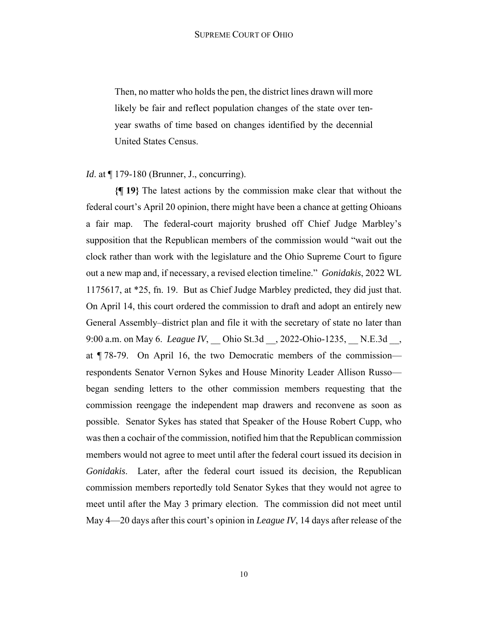Then, no matter who holds the pen, the district lines drawn will more likely be fair and reflect population changes of the state over tenyear swaths of time based on changes identified by the decennial United States Census.

### *Id.* at  $\P$  179-180 (Brunner, J., concurring).

**{¶ 19}** The latest actions by the commission make clear that without the federal court's April 20 opinion, there might have been a chance at getting Ohioans a fair map. The federal-court majority brushed off Chief Judge Marbley's supposition that the Republican members of the commission would "wait out the clock rather than work with the legislature and the Ohio Supreme Court to figure out a new map and, if necessary, a revised election timeline." *Gonidakis*, 2022 WL 1175617, at \*25, fn. 19. But as Chief Judge Marbley predicted, they did just that. On April 14, this court ordered the commission to draft and adopt an entirely new General Assembly–district plan and file it with the secretary of state no later than 9:00 a.m. on May 6. *League IV*, Ohio St.3d , 2022-Ohio-1235, N.E.3d , at ¶ 78-79. On April 16, the two Democratic members of the commission respondents Senator Vernon Sykes and House Minority Leader Allison Russo began sending letters to the other commission members requesting that the commission reengage the independent map drawers and reconvene as soon as possible. Senator Sykes has stated that Speaker of the House Robert Cupp, who was then a cochair of the commission, notified him that the Republican commission members would not agree to meet until after the federal court issued its decision in *Gonidakis*. Later, after the federal court issued its decision, the Republican commission members reportedly told Senator Sykes that they would not agree to meet until after the May 3 primary election. The commission did not meet until May 4—20 days after this court's opinion in *League IV*, 14 days after release of the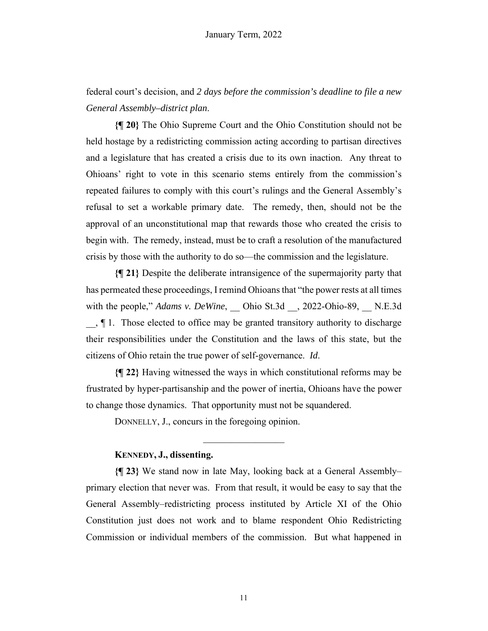federal court's decision, and *2 days before the commission's deadline to file a new General Assembly–district plan*.

**{¶ 20}** The Ohio Supreme Court and the Ohio Constitution should not be held hostage by a redistricting commission acting according to partisan directives and a legislature that has created a crisis due to its own inaction. Any threat to Ohioans' right to vote in this scenario stems entirely from the commission's repeated failures to comply with this court's rulings and the General Assembly's refusal to set a workable primary date. The remedy, then, should not be the approval of an unconstitutional map that rewards those who created the crisis to begin with. The remedy, instead, must be to craft a resolution of the manufactured crisis by those with the authority to do so—the commission and the legislature.

**{¶ 21}** Despite the deliberate intransigence of the supermajority party that has permeated these proceedings, I remind Ohioans that "the power rests at all times with the people," *Adams v. DeWine*, Ohio St.3d , 2022-Ohio-89, N.E.3d \_\_, ¶ 1. Those elected to office may be granted transitory authority to discharge their responsibilities under the Constitution and the laws of this state, but the citizens of Ohio retain the true power of self-governance. *Id*.

**{¶ 22}** Having witnessed the ways in which constitutional reforms may be frustrated by hyper-partisanship and the power of inertia, Ohioans have the power to change those dynamics. That opportunity must not be squandered.

 $\frac{1}{2}$ 

DONNELLY, J., concurs in the foregoing opinion.

#### **KENNEDY, J., dissenting.**

**{¶ 23}** We stand now in late May, looking back at a General Assembly– primary election that never was. From that result, it would be easy to say that the General Assembly–redistricting process instituted by Article XI of the Ohio Constitution just does not work and to blame respondent Ohio Redistricting Commission or individual members of the commission. But what happened in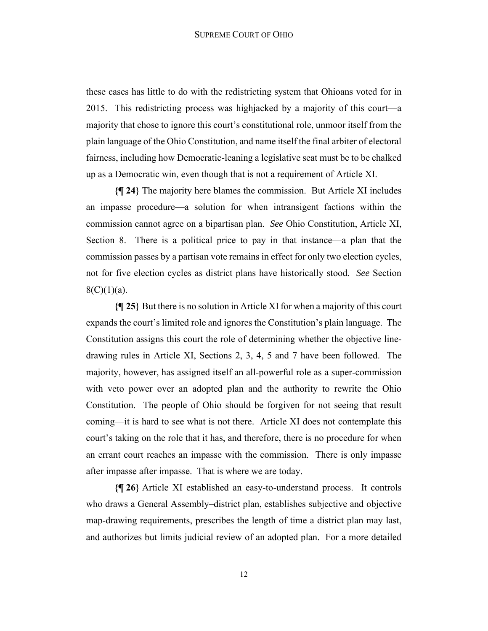these cases has little to do with the redistricting system that Ohioans voted for in 2015. This redistricting process was highjacked by a majority of this court—a majority that chose to ignore this court's constitutional role, unmoor itself from the plain language of the Ohio Constitution, and name itself the final arbiter of electoral fairness, including how Democratic-leaning a legislative seat must be to be chalked up as a Democratic win, even though that is not a requirement of Article XI.

**{¶ 24}** The majority here blames the commission. But Article XI includes an impasse procedure—a solution for when intransigent factions within the commission cannot agree on a bipartisan plan. *See* Ohio Constitution, Article XI, Section 8. There is a political price to pay in that instance—a plan that the commission passes by a partisan vote remains in effect for only two election cycles, not for five election cycles as district plans have historically stood. *See* Section  $8(C)(1)(a)$ .

**{¶ 25}** But there is no solution in Article XI for when a majority of this court expands the court's limited role and ignores the Constitution's plain language. The Constitution assigns this court the role of determining whether the objective linedrawing rules in Article XI, Sections 2, 3, 4, 5 and 7 have been followed. The majority, however, has assigned itself an all-powerful role as a super-commission with veto power over an adopted plan and the authority to rewrite the Ohio Constitution. The people of Ohio should be forgiven for not seeing that result coming—it is hard to see what is not there. Article XI does not contemplate this court's taking on the role that it has, and therefore, there is no procedure for when an errant court reaches an impasse with the commission. There is only impasse after impasse after impasse. That is where we are today.

**{¶ 26}** Article XI established an easy-to-understand process. It controls who draws a General Assembly–district plan, establishes subjective and objective map-drawing requirements, prescribes the length of time a district plan may last, and authorizes but limits judicial review of an adopted plan. For a more detailed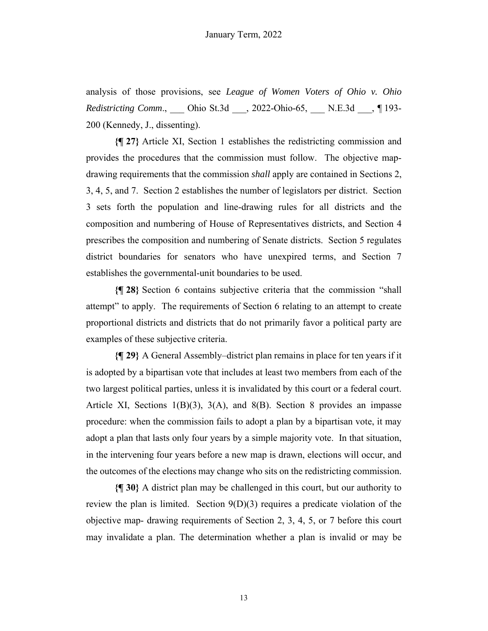analysis of those provisions, see *League of Women Voters of Ohio v. Ohio Redistricting Comm*., \_\_\_ Ohio St.3d \_\_\_, 2022-Ohio-65, \_\_\_ N.E.3d \_\_\_, ¶ 193- 200 (Kennedy, J., dissenting).

**{¶ 27}** Article XI, Section 1 establishes the redistricting commission and provides the procedures that the commission must follow. The objective mapdrawing requirements that the commission *shall* apply are contained in Sections 2, 3, 4, 5, and 7. Section 2 establishes the number of legislators per district. Section 3 sets forth the population and line-drawing rules for all districts and the composition and numbering of House of Representatives districts, and Section 4 prescribes the composition and numbering of Senate districts. Section 5 regulates district boundaries for senators who have unexpired terms, and Section 7 establishes the governmental-unit boundaries to be used.

**{¶ 28}** Section 6 contains subjective criteria that the commission "shall attempt" to apply. The requirements of Section 6 relating to an attempt to create proportional districts and districts that do not primarily favor a political party are examples of these subjective criteria.

**{¶ 29}** A General Assembly–district plan remains in place for ten years if it is adopted by a bipartisan vote that includes at least two members from each of the two largest political parties, unless it is invalidated by this court or a federal court. Article XI, Sections  $1(B)(3)$ ,  $3(A)$ , and  $8(B)$ . Section 8 provides an impasse procedure: when the commission fails to adopt a plan by a bipartisan vote, it may adopt a plan that lasts only four years by a simple majority vote. In that situation, in the intervening four years before a new map is drawn, elections will occur, and the outcomes of the elections may change who sits on the redistricting commission.

**{¶ 30}** A district plan may be challenged in this court, but our authority to review the plan is limited. Section 9(D)(3) requires a predicate violation of the objective map- drawing requirements of Section 2, 3, 4, 5, or 7 before this court may invalidate a plan. The determination whether a plan is invalid or may be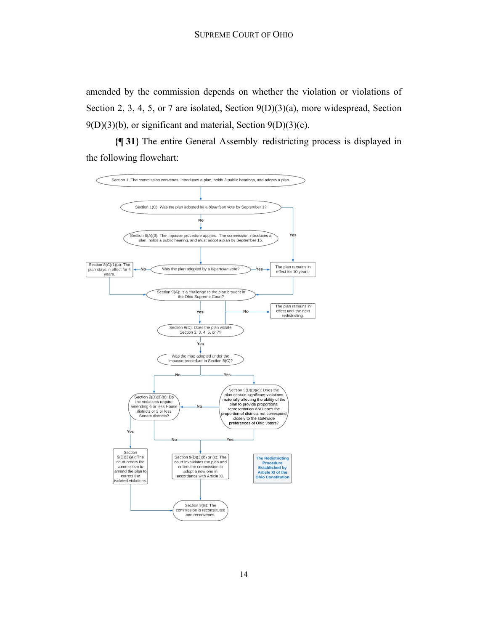amended by the commission depends on whether the violation or violations of Section 2, 3, 4, 5, or 7 are isolated, Section 9(D)(3)(a), more widespread, Section  $9(D)(3)(b)$ , or significant and material, Section  $9(D)(3)(c)$ .

**{¶ 31}** The entire General Assembly–redistricting process is displayed in the following flowchart:

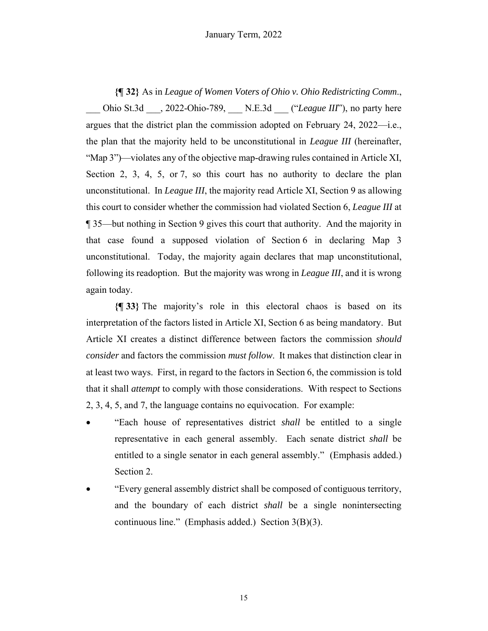**{¶ 32}** As in *League of Women Voters of Ohio v. Ohio Redistricting Comm*., Ohio St.3d  $\qquad$ , 2022-Ohio-789, N.E.3d ("*League III*"), no party here argues that the district plan the commission adopted on February 24, 2022—i.e., the plan that the majority held to be unconstitutional in *League III* (hereinafter, "Map 3")—violates any of the objective map-drawing rules contained in Article XI, Section 2, 3, 4, 5, or 7, so this court has no authority to declare the plan unconstitutional. In *League III*, the majority read Article XI, Section 9 as allowing this court to consider whether the commission had violated Section 6, *League III* at ¶ 35—but nothing in Section 9 gives this court that authority. And the majority in that case found a supposed violation of Section 6 in declaring Map 3 unconstitutional. Today, the majority again declares that map unconstitutional, following its readoption. But the majority was wrong in *League III*, and it is wrong again today.

**{¶ 33}** The majority's role in this electoral chaos is based on its interpretation of the factors listed in Article XI, Section 6 as being mandatory. But Article XI creates a distinct difference between factors the commission *should consider* and factors the commission *must follow*. It makes that distinction clear in at least two ways. First, in regard to the factors in Section 6, the commission is told that it shall *attempt* to comply with those considerations. With respect to Sections 2, 3, 4, 5, and 7, the language contains no equivocation. For example:

- "Each house of representatives district *shall* be entitled to a single representative in each general assembly. Each senate district *shall* be entitled to a single senator in each general assembly." (Emphasis added.) Section 2.
- "Every general assembly district shall be composed of contiguous territory, and the boundary of each district *shall* be a single nonintersecting continuous line." (Emphasis added.) Section 3(B)(3).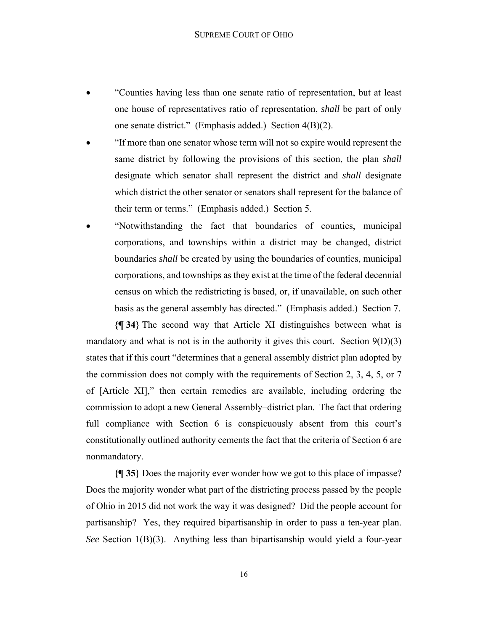- "Counties having less than one senate ratio of representation, but at least one house of representatives ratio of representation, *shall* be part of only one senate district." (Emphasis added.) Section 4(B)(2).
- "If more than one senator whose term will not so expire would represent the same district by following the provisions of this section, the plan *shall*  designate which senator shall represent the district and *shall* designate which district the other senator or senators shall represent for the balance of their term or terms." (Emphasis added.) Section 5.
- "Notwithstanding the fact that boundaries of counties, municipal corporations, and townships within a district may be changed, district boundaries *shall* be created by using the boundaries of counties, municipal corporations, and townships as they exist at the time of the federal decennial census on which the redistricting is based, or, if unavailable, on such other basis as the general assembly has directed." (Emphasis added.) Section 7.

**{¶ 34}** The second way that Article XI distinguishes between what is mandatory and what is not is in the authority it gives this court. Section  $9(D)(3)$ states that if this court "determines that a general assembly district plan adopted by the commission does not comply with the requirements of Section 2, 3, 4, 5, or 7 of [Article XI]," then certain remedies are available, including ordering the commission to adopt a new General Assembly–district plan. The fact that ordering full compliance with Section 6 is conspicuously absent from this court's constitutionally outlined authority cements the fact that the criteria of Section 6 are nonmandatory.

**{¶ 35}** Does the majority ever wonder how we got to this place of impasse? Does the majority wonder what part of the districting process passed by the people of Ohio in 2015 did not work the way it was designed? Did the people account for partisanship? Yes, they required bipartisanship in order to pass a ten-year plan. *See* Section 1(B)(3). Anything less than bipartisanship would yield a four-year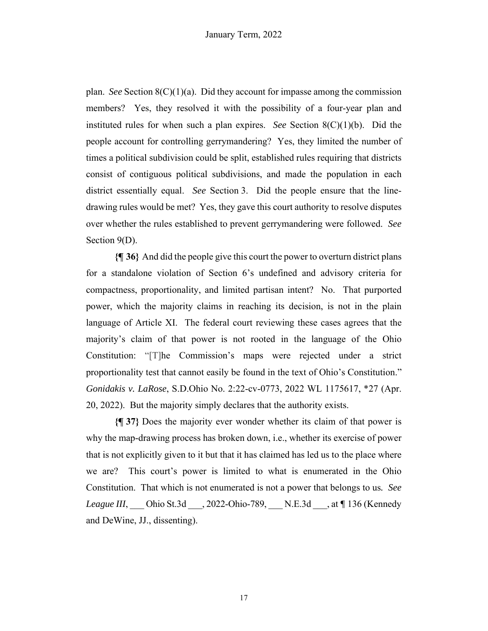plan. *See* Section  $8(C)(1)(a)$ . Did they account for impasse among the commission members? Yes, they resolved it with the possibility of a four-year plan and instituted rules for when such a plan expires. *See* Section 8(C)(1)(b). Did the people account for controlling gerrymandering? Yes, they limited the number of times a political subdivision could be split, established rules requiring that districts consist of contiguous political subdivisions, and made the population in each district essentially equal. *See* Section 3. Did the people ensure that the linedrawing rules would be met? Yes, they gave this court authority to resolve disputes over whether the rules established to prevent gerrymandering were followed. *See* Section 9(D).

**{¶ 36}** And did the people give this court the power to overturn district plans for a standalone violation of Section 6's undefined and advisory criteria for compactness, proportionality, and limited partisan intent? No. That purported power, which the majority claims in reaching its decision, is not in the plain language of Article XI. The federal court reviewing these cases agrees that the majority's claim of that power is not rooted in the language of the Ohio Constitution: "[T]he Commission's maps were rejected under a strict proportionality test that cannot easily be found in the text of Ohio's Constitution." *Gonidakis v. LaRose*, S.D.Ohio No. 2:22-cv-0773, 2022 WL 1175617, \*27 (Apr. 20, 2022). But the majority simply declares that the authority exists.

**{¶ 37}** Does the majority ever wonder whether its claim of that power is why the map-drawing process has broken down, i.e., whether its exercise of power that is not explicitly given to it but that it has claimed has led us to the place where we are? This court's power is limited to what is enumerated in the Ohio Constitution. That which is not enumerated is not a power that belongs to us*. See League III*, \_\_\_ Ohio St.3d \_\_\_, 2022-Ohio-789, \_\_\_ N.E.3d \_\_\_, at *¶* 136 (Kennedy and DeWine, JJ., dissenting).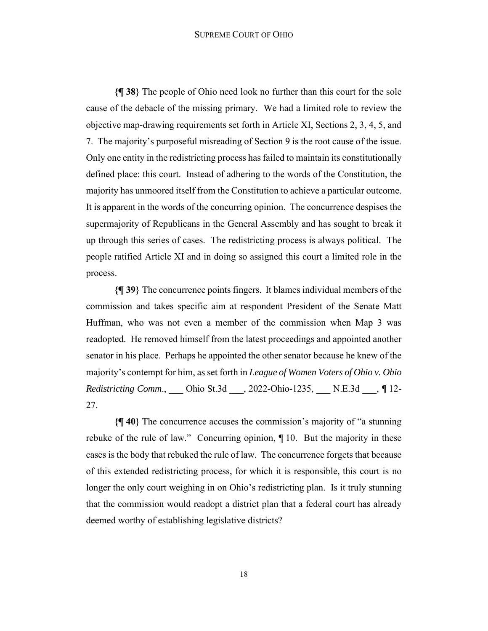#### SUPREME COURT OF OHIO

**{¶ 38}** The people of Ohio need look no further than this court for the sole cause of the debacle of the missing primary. We had a limited role to review the objective map-drawing requirements set forth in Article XI, Sections 2, 3, 4, 5, and 7. The majority's purposeful misreading of Section 9 is the root cause of the issue. Only one entity in the redistricting process has failed to maintain its constitutionally defined place: this court. Instead of adhering to the words of the Constitution, the majority has unmoored itself from the Constitution to achieve a particular outcome. It is apparent in the words of the concurring opinion. The concurrence despises the supermajority of Republicans in the General Assembly and has sought to break it up through this series of cases. The redistricting process is always political. The people ratified Article XI and in doing so assigned this court a limited role in the process.

**{¶ 39}** The concurrence points fingers. It blames individual members of the commission and takes specific aim at respondent President of the Senate Matt Huffman, who was not even a member of the commission when Map 3 was readopted. He removed himself from the latest proceedings and appointed another senator in his place. Perhaps he appointed the other senator because he knew of the majority's contempt for him, as set forth in *League of Women Voters of Ohio v. Ohio Redistricting Comm*., \_\_\_ Ohio St.3d \_\_\_, 2022-Ohio-1235, \_\_\_ N.E.3d \_\_\_, *¶* 12- 27.

**{¶ 40}** The concurrence accuses the commission's majority of "a stunning rebuke of the rule of law." Concurring opinion, ¶ 10. But the majority in these cases is the body that rebuked the rule of law. The concurrence forgets that because of this extended redistricting process, for which it is responsible, this court is no longer the only court weighing in on Ohio's redistricting plan. Is it truly stunning that the commission would readopt a district plan that a federal court has already deemed worthy of establishing legislative districts?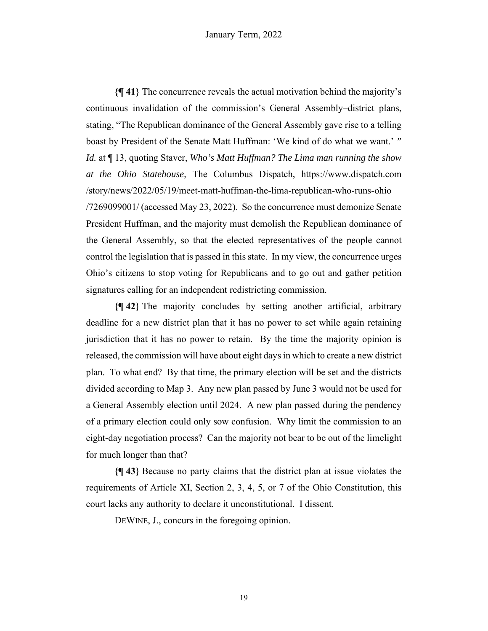**{¶ 41}** The concurrence reveals the actual motivation behind the majority's continuous invalidation of the commission's General Assembly–district plans, stating, "The Republican dominance of the General Assembly gave rise to a telling boast by President of the Senate Matt Huffman: 'We kind of do what we want.' *" Id.* at ¶ 13, quoting Staver, *Who's Matt Huffman? The Lima man running the show at the Ohio Statehouse*, The Columbus Dispatch, https://www.dispatch.com /story/news/2022/05/19/meet-matt-huffman-the-lima-republican-who-runs-ohio /7269099001/ (accessed May 23, 2022). So the concurrence must demonize Senate President Huffman, and the majority must demolish the Republican dominance of the General Assembly, so that the elected representatives of the people cannot control the legislation that is passed in this state. In my view, the concurrence urges Ohio's citizens to stop voting for Republicans and to go out and gather petition signatures calling for an independent redistricting commission.

**{¶ 42}** The majority concludes by setting another artificial, arbitrary deadline for a new district plan that it has no power to set while again retaining jurisdiction that it has no power to retain. By the time the majority opinion is released, the commission will have about eight days in which to create a new district plan. To what end? By that time, the primary election will be set and the districts divided according to Map 3. Any new plan passed by June 3 would not be used for a General Assembly election until 2024. A new plan passed during the pendency of a primary election could only sow confusion. Why limit the commission to an eight-day negotiation process? Can the majority not bear to be out of the limelight for much longer than that?

**{¶ 43}** Because no party claims that the district plan at issue violates the requirements of Article XI, Section 2, 3, 4, 5, or 7 of the Ohio Constitution, this court lacks any authority to declare it unconstitutional. I dissent.

DEWINE, J., concurs in the foregoing opinion.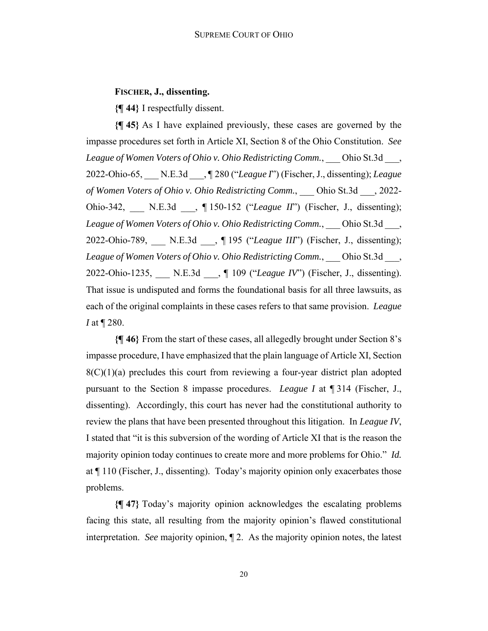# **FISCHER, J., dissenting.**

**{¶ 44}** I respectfully dissent.

**{¶ 45}** As I have explained previously, these cases are governed by the impasse procedures set forth in Article XI, Section 8 of the Ohio Constitution. *See League of Women Voters of Ohio v. Ohio Redistricting Comm.*, \_\_\_ Ohio St.3d \_\_\_, 2022-Ohio-65, \_\_\_ N.E.3d \_\_\_, ¶ 280 ("*League I*") (Fischer, J., dissenting); *League of Women Voters of Ohio v. Ohio Redistricting Comm.*, \_\_\_ Ohio St.3d \_\_\_, 2022- Ohio-342, N.E.3d , ¶ 150-152 ("*League II*") (Fischer, J., dissenting); *League of Women Voters of Ohio v. Ohio Redistricting Comm.*, \_\_\_ Ohio St.3d \_\_\_, 2022-Ohio-789, N.E.3d , ¶ 195 ("League III") (Fischer, J., dissenting); *League of Women Voters of Ohio v. Ohio Redistricting Comm.*, \_\_\_ Ohio St.3d \_\_\_, 2022-Ohio-1235, \_\_\_ N.E.3d \_\_\_, ¶ 109 ("*League IV*") (Fischer, J., dissenting). That issue is undisputed and forms the foundational basis for all three lawsuits, as each of the original complaints in these cases refers to that same provision. *League I* at ¶ 280.

**{¶ 46}** From the start of these cases, all allegedly brought under Section 8's impasse procedure, I have emphasized that the plain language of Article XI, Section  $8(C)(1)(a)$  precludes this court from reviewing a four-year district plan adopted pursuant to the Section 8 impasse procedures. *League I* at ¶ 314 (Fischer, J., dissenting). Accordingly, this court has never had the constitutional authority to review the plans that have been presented throughout this litigation. In *League IV*, I stated that "it is this subversion of the wording of Article XI that is the reason the majority opinion today continues to create more and more problems for Ohio." *Id.* at ¶ 110 (Fischer, J., dissenting). Today's majority opinion only exacerbates those problems.

**{¶ 47}** Today's majority opinion acknowledges the escalating problems facing this state, all resulting from the majority opinion's flawed constitutional interpretation. *See* majority opinion, ¶ 2. As the majority opinion notes, the latest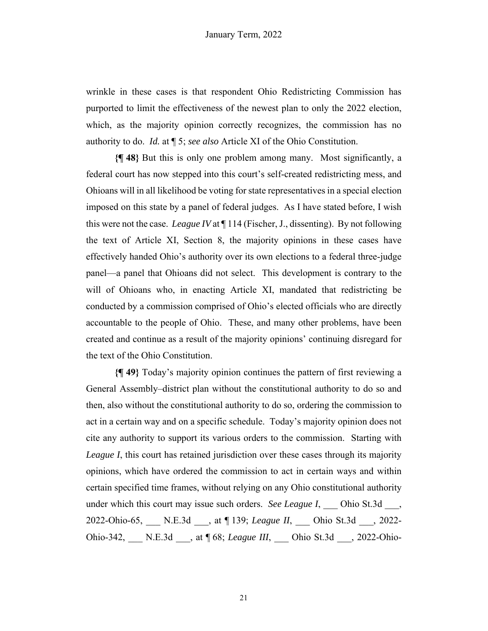wrinkle in these cases is that respondent Ohio Redistricting Commission has purported to limit the effectiveness of the newest plan to only the 2022 election, which, as the majority opinion correctly recognizes, the commission has no authority to do. *Id.* at ¶ 5; *see also* Article XI of the Ohio Constitution.

**{¶ 48}** But this is only one problem among many. Most significantly, a federal court has now stepped into this court's self-created redistricting mess, and Ohioans will in all likelihood be voting for state representatives in a special election imposed on this state by a panel of federal judges. As I have stated before, I wish this were not the case. *League IV* at ¶ 114 (Fischer, J., dissenting). By not following the text of Article XI, Section 8, the majority opinions in these cases have effectively handed Ohio's authority over its own elections to a federal three-judge panel—a panel that Ohioans did not select. This development is contrary to the will of Ohioans who, in enacting Article XI, mandated that redistricting be conducted by a commission comprised of Ohio's elected officials who are directly accountable to the people of Ohio. These, and many other problems, have been created and continue as a result of the majority opinions' continuing disregard for the text of the Ohio Constitution.

**{¶ 49}** Today's majority opinion continues the pattern of first reviewing a General Assembly–district plan without the constitutional authority to do so and then, also without the constitutional authority to do so, ordering the commission to act in a certain way and on a specific schedule. Today's majority opinion does not cite any authority to support its various orders to the commission. Starting with *League I*, this court has retained jurisdiction over these cases through its majority opinions, which have ordered the commission to act in certain ways and within certain specified time frames, without relying on any Ohio constitutional authority under which this court may issue such orders. *See League I*, Ohio St.3d, 2022-Ohio-65, \_\_\_ N.E.3d \_\_\_, at ¶ 139; *League II*, \_\_\_ Ohio St.3d \_\_\_, 2022- Ohio-342, \_\_\_ N.E.3d \_\_\_, at ¶ 68; *League III*, \_\_\_ Ohio St.3d \_\_\_, 2022-Ohio-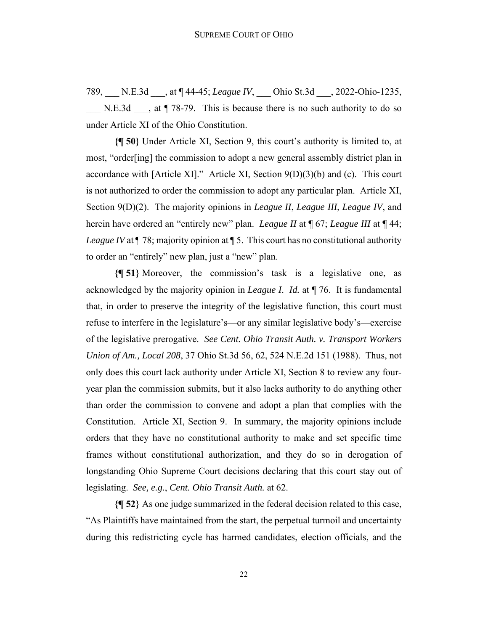789, \_\_\_ N.E.3d \_\_\_, at ¶ 44-45; *League IV*, \_\_\_ Ohio St.3d \_\_\_, 2022-Ohio-1235, N.E.3d  $\ldots$ , at ¶ 78-79. This is because there is no such authority to do so under Article XI of the Ohio Constitution.

**{¶ 50}** Under Article XI, Section 9, this court's authority is limited to, at most, "order[ing] the commission to adopt a new general assembly district plan in accordance with [Article XI]." Article XI, Section 9(D)(3)(b) and (c). This court is not authorized to order the commission to adopt any particular plan. Article XI, Section 9(D)(2). The majority opinions in *League II*, *League III*, *League IV*, and herein have ordered an "entirely new" plan. *League II* at ¶ 67; *League III* at ¶ 44; *League IV* at  $\sqrt{78}$ ; majority opinion at  $\sqrt{5}$ . This court has no constitutional authority to order an "entirely" new plan, just a "new" plan.

**{¶ 51}** Moreover, the commission's task is a legislative one, as acknowledged by the majority opinion in *League I*. *Id.* at ¶ 76. It is fundamental that, in order to preserve the integrity of the legislative function, this court must refuse to interfere in the legislature's—or any similar legislative body's—exercise of the legislative prerogative. *See Cent. Ohio Transit Auth. v. Transport Workers Union of Am., Local 208*, 37 Ohio St.3d 56, 62, 524 N.E.2d 151 (1988). Thus, not only does this court lack authority under Article XI, Section 8 to review any fouryear plan the commission submits, but it also lacks authority to do anything other than order the commission to convene and adopt a plan that complies with the Constitution. Article XI, Section 9. In summary, the majority opinions include orders that they have no constitutional authority to make and set specific time frames without constitutional authorization, and they do so in derogation of longstanding Ohio Supreme Court decisions declaring that this court stay out of legislating. *See, e.g.*, *Cent. Ohio Transit Auth.* at 62.

**{¶ 52}** As one judge summarized in the federal decision related to this case, "As Plaintiffs have maintained from the start, the perpetual turmoil and uncertainty during this redistricting cycle has harmed candidates, election officials, and the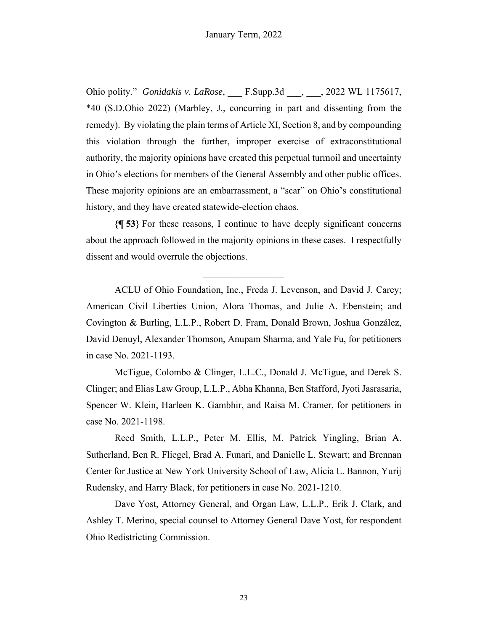Ohio polity." *Gonidakis v. LaRose*, \_\_\_ F.Supp.3d \_\_\_, \_\_\_, 2022 WL 1175617, \*40 (S.D.Ohio 2022) (Marbley, J., concurring in part and dissenting from the remedy). By violating the plain terms of Article XI, Section 8, and by compounding this violation through the further, improper exercise of extraconstitutional authority, the majority opinions have created this perpetual turmoil and uncertainty in Ohio's elections for members of the General Assembly and other public offices. These majority opinions are an embarrassment, a "scar" on Ohio's constitutional history, and they have created statewide-election chaos.

**{¶ 53}** For these reasons, I continue to have deeply significant concerns about the approach followed in the majority opinions in these cases. I respectfully dissent and would overrule the objections.

 $\frac{1}{2}$ 

ACLU of Ohio Foundation, Inc., Freda J. Levenson, and David J. Carey; American Civil Liberties Union, Alora Thomas, and Julie A. Ebenstein; and Covington & Burling, L.L.P., Robert D. Fram, Donald Brown, Joshua González, David Denuyl, Alexander Thomson, Anupam Sharma, and Yale Fu, for petitioners in case No. 2021-1193.

McTigue, Colombo & Clinger, L.L.C., Donald J. McTigue, and Derek S. Clinger; and Elias Law Group, L.L.P., Abha Khanna, Ben Stafford, Jyoti Jasrasaria, Spencer W. Klein, Harleen K. Gambhir, and Raisa M. Cramer, for petitioners in case No. 2021-1198.

Reed Smith, L.L.P., Peter M. Ellis, M. Patrick Yingling, Brian A. Sutherland, Ben R. Fliegel, Brad A. Funari, and Danielle L. Stewart; and Brennan Center for Justice at New York University School of Law, Alicia L. Bannon, Yurij Rudensky, and Harry Black, for petitioners in case No. 2021-1210.

Dave Yost, Attorney General, and Organ Law, L.L.P., Erik J. Clark, and Ashley T. Merino, special counsel to Attorney General Dave Yost, for respondent Ohio Redistricting Commission.